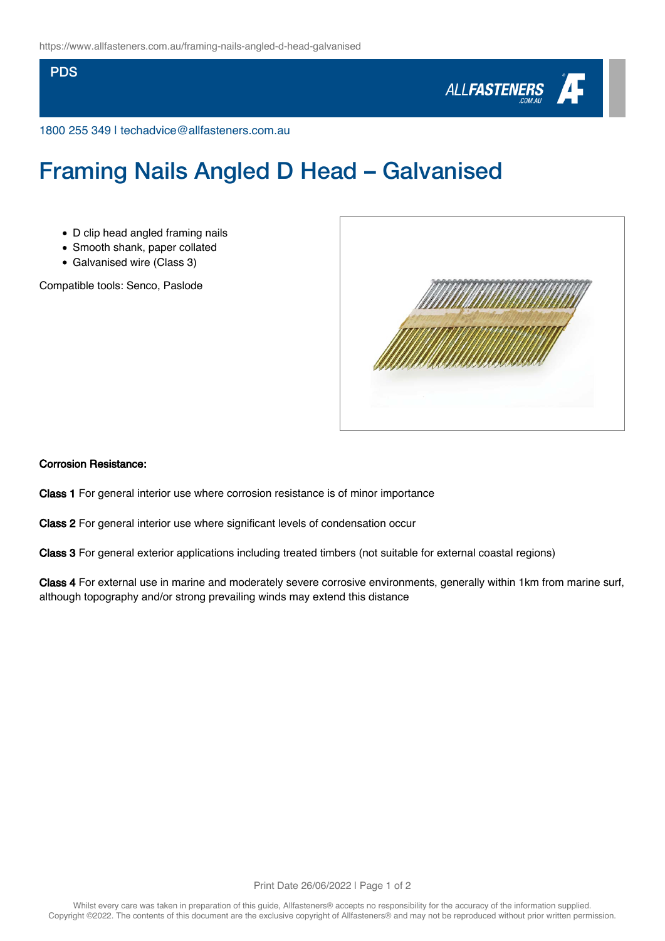## **PDS**



1800 255 349 | techadvice@allfasteners.com.au

## Framing Nails Angled D Head – Galvanised

- D clip head angled framing nails
- Smooth shank, paper collated
- Galvanised wire (Class 3)

Compatible tools: Senco, Paslode



## Corrosion Resistance:

Class 1 For general interior use where corrosion resistance is of minor importance

Class 2 For general interior use where significant levels of condensation occur

Class 3 For general exterior applications including treated timbers (not suitable for external coastal regions)

Class 4 For external use in marine and moderately severe corrosive environments, generally within 1km from marine surf, although topography and/or strong prevailing winds may extend this distance